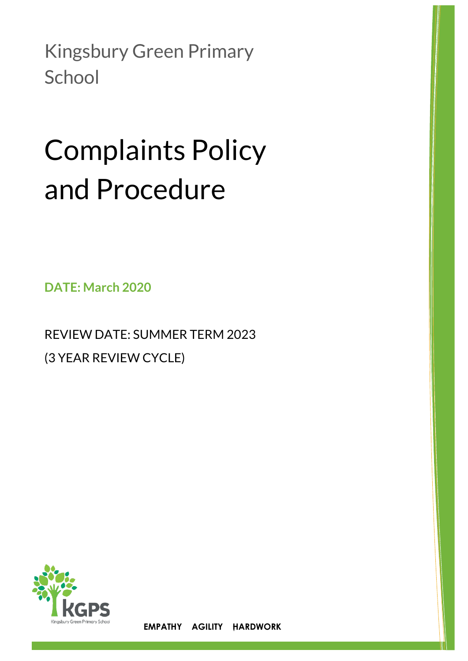Kingsbury Green Primary **School** 

# Complaints Policy and Procedure

**DATE: March 2020**

REVIEW DATE: SUMMER TERM 2023 (3 YEAR REVIEW CYCLE)



1 **EMPATHY AGILITY HARDWORK**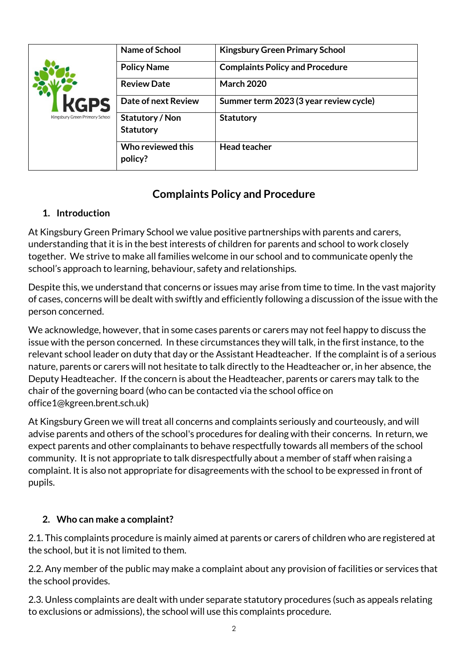| <b>KGPS</b>                    | Name of School      | <b>Kingsbury Green Primary School</b>  |  |
|--------------------------------|---------------------|----------------------------------------|--|
|                                | <b>Policy Name</b>  | <b>Complaints Policy and Procedure</b> |  |
|                                | <b>Review Date</b>  | <b>March 2020</b>                      |  |
|                                | Date of next Review | Summer term 2023 (3 year review cycle) |  |
| Kingsbury Green Primary School | Statutory / Non     | <b>Statutory</b>                       |  |
|                                | <b>Statutory</b>    |                                        |  |
|                                | Who reviewed this   | <b>Head teacher</b>                    |  |
|                                | policy?             |                                        |  |

# **Complaints Policy and Procedure**

# **1. Introduction**

At Kingsbury Green Primary School we value positive partnerships with parents and carers, understanding that it is in the best interests of children for parents and school to work closely together. We strive to make all families welcome in our school and to communicate openly the school's approach to learning, behaviour, safety and relationships.

Despite this, we understand that concerns or issues may arise from time to time. In the vast majority of cases, concerns will be dealt with swiftly and efficiently following a discussion of the issue with the person concerned.

We acknowledge, however, that in some cases parents or carers may not feel happy to discuss the issue with the person concerned. In these circumstances they will talk, in the first instance, to the relevant school leader on duty that day or the Assistant Headteacher. If the complaint is of a serious nature, parents or carers will not hesitate to talk directly to the Headteacher or, in her absence, the Deputy Headteacher. If the concern is about the Headteacher, parents or carers may talk to the chair of the governing board (who can be contacted via the school office on office1@kgreen.brent.sch.uk)

At Kingsbury Green we will treat all concerns and complaints seriously and courteously, and will advise parents and others of the school's procedures for dealing with their concerns. In return, we expect parents and other complainants to behave respectfully towards all members of the school community. It is not appropriate to talk disrespectfully about a member of staff when raising a complaint. It is also not appropriate for disagreements with the school to be expressed in front of pupils.

# **2. Who can make a complaint?**

2.1. This complaints procedure is mainly aimed at parents or carers of children who are registered at the school, but it is not limited to them.

2.2. Any member of the public may make a complaint about any provision of facilities or services that the school provides.

2.3. Unless complaints are dealt with under separate statutory procedures (such as appeals relating to exclusions or admissions), the school will use this complaints procedure.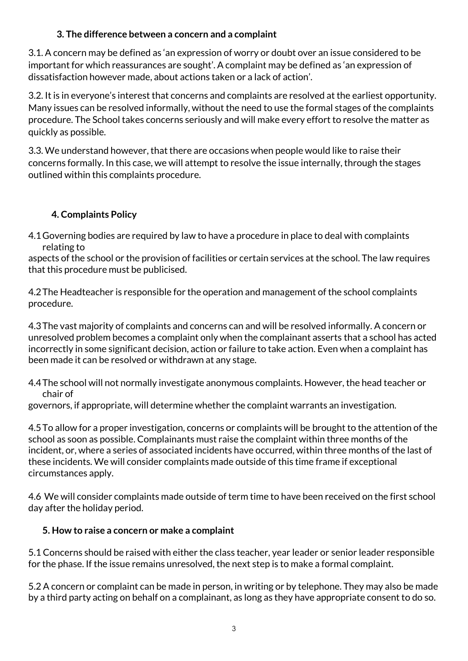#### **3. The difference between a concern and a complaint**

3.1. A concern may be defined as 'an expression of worry or doubt over an issue considered to be important for which reassurances are sought'. A complaint may be defined as 'an expression of dissatisfaction however made, about actions taken or a lack of action'.

3.2. It is in everyone's interest that concerns and complaints are resolved at the earliest opportunity. Many issues can be resolved informally, without the need to use the formal stages of the complaints procedure. The School takes concerns seriously and will make every effort to resolve the matter as quickly as possible.

3.3. We understand however, that there are occasions when people would like to raise their concerns formally. In this case, we will attempt to resolve the issue internally, through the stages outlined within this complaints procedure.

## **4. Complaints Policy**

4.1Governing bodies are required by law to have a procedure in place to deal with complaints relating to

aspects of the school or the provision of facilities or certain services at the school. The law requires that this procedure must be publicised.

4.2The Headteacher is responsible for the operation and management of the school complaints procedure.

4.3The vast majority of complaints and concerns can and will be resolved informally. A concern or unresolved problem becomes a complaint only when the complainant asserts that a school has acted incorrectly in some significant decision, action or failure to take action. Even when a complaint has been made it can be resolved or withdrawn at any stage.

4.4The school will not normally investigate anonymous complaints. However, the head teacher or chair of

governors, if appropriate, will determine whether the complaint warrants an investigation.

4.5To allow for a proper investigation, concerns or complaints will be brought to the attention of the school as soon as possible. Complainants must raise the complaint within three months of the incident, or, where a series of associated incidents have occurred, within three months of the last of these incidents. We will consider complaints made outside of this time frame if exceptional circumstances apply.

4.6 We will consider complaints made outside of term time to have been received on the first school day after the holiday period.

#### **5. How to raise a concern or make a complaint**

5.1 Concerns should be raised with either the class teacher, year leader or senior leader responsible for the phase. If the issue remains unresolved, the next step is to make a formal complaint.

5.2 A concern or complaint can be made in person, in writing or by telephone. They may also be made by a third party acting on behalf on a complainant, as long as they have appropriate consent to do so.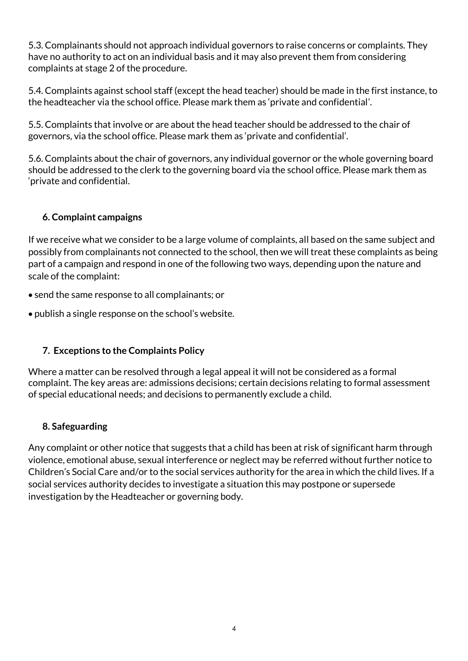5.3. Complainants should not approach individual governors to raise concerns or complaints. They have no authority to act on an individual basis and it may also prevent them from considering complaints at stage 2 of the procedure.

5.4. Complaints against school staff (except the head teacher) should be made in the first instance, to the headteacher via the school office. Please mark them as 'private and confidential'.

5.5. Complaints that involve or are about the head teacher should be addressed to the chair of governors, via the school office. Please mark them as 'private and confidential'.

5.6. Complaints about the chair of governors, any individual governor or the whole governing board should be addressed to the clerk to the governing board via the school office. Please mark them as 'private and confidential.

#### **6. Complaint campaigns**

If we receive what we consider to be a large volume of complaints, all based on the same subject and possibly from complainants not connected to the school, then we will treat these complaints as being part of a campaign and respond in one of the following two ways, depending upon the nature and scale of the complaint:

- send the same response to all complainants; or
- publish a single response on the school's website.

#### **7. Exceptions to the Complaints Policy**

Where a matter can be resolved through a legal appeal it will not be considered as a formal complaint. The key areas are: admissions decisions; certain decisions relating to formal assessment of special educational needs; and decisions to permanently exclude a child.

#### **8. Safeguarding**

Any complaint or other notice that suggests that a child has been at risk of significant harm through violence, emotional abuse, sexual interference or neglect may be referred without further notice to Children's Social Care and/or to the social services authority for the area in which the child lives. If a social services authority decides to investigate a situation this may postpone or supersede investigation by the Headteacher or governing body.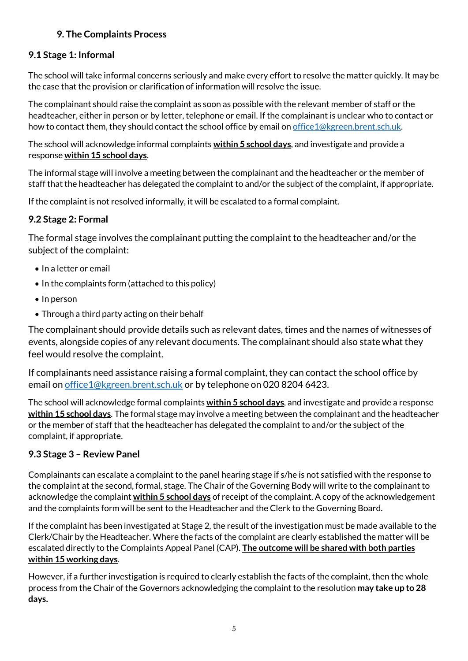## **9. The Complaints Process**

#### **9.1 Stage 1: Informal**

The school will take informal concerns seriously and make every effort to resolve the matter quickly. It may be the case that the provision or clarification of information will resolve the issue.

The complainant should raise the complaint as soon as possible with the relevant member of staff or the headteacher, either in person or by letter, telephone or email. If the complainant is unclear who to contact or how to contact them, they should contact the school office by email o[n office1@kgreen.brent.sch.uk.](mailto:office1@kgreen.brent.sch.uk)

The school will acknowledge informal complaints **within 5 school days**, and investigate and provide a response **within 15 school days**.

The informal stage will involve a meeting between the complainant and the headteacher or the member of staff that the headteacher has delegated the complaint to and/or the subject of the complaint, if appropriate.

If the complaint is not resolved informally, it will be escalated to a formal complaint.

#### **9.2 Stage 2: Formal**

The formal stage involves the complainant putting the complaint to the headteacher and/or the subject of the complaint:

- In a letter or email
- In the complaints form (attached to this policy)
- $\bullet$  In person
- Through a third party acting on their behalf

The complainant should provide details such as relevant dates, times and the names of witnesses of events, alongside copies of any relevant documents. The complainant should also state what they feel would resolve the complaint.

If complainants need assistance raising a formal complaint, they can contact the school office by email o[n office1@kgreen.brent.sch.uk](mailto:office1@kgreen.brent.sch.uk) or by telephone on 020 8204 6423.

The school will acknowledge formal complaints **within 5 school days**, and investigate and provide a response **within 15 school days**. The formal stage may involve a meeting between the complainant and the headteacher or the member of staff that the headteacher has delegated the complaint to and/or the subject of the complaint, if appropriate.

#### **9.3 Stage 3 – Review Panel**

Complainants can escalate a complaint to the panel hearing stage if s/he is not satisfied with the response to the complaint at the second, formal, stage. The Chair of the Governing Body will write to the complainant to acknowledge the complaint **within 5 school days** of receipt of the complaint. A copy of the acknowledgement and the complaints form will be sent to the Headteacher and the Clerk to the Governing Board.

If the complaint has been investigated at Stage 2, the result of the investigation must be made available to the Clerk/Chair by the Headteacher. Where the facts of the complaint are clearly established the matter will be escalated directly to the Complaints Appeal Panel (CAP). **The outcome will be shared with both parties within 15 working days**.

However, if a further investigation is required to clearly establish the facts of the complaint, then the whole process from the Chair of the Governors acknowledging the complaint to the resolution **may take up to 28 days.**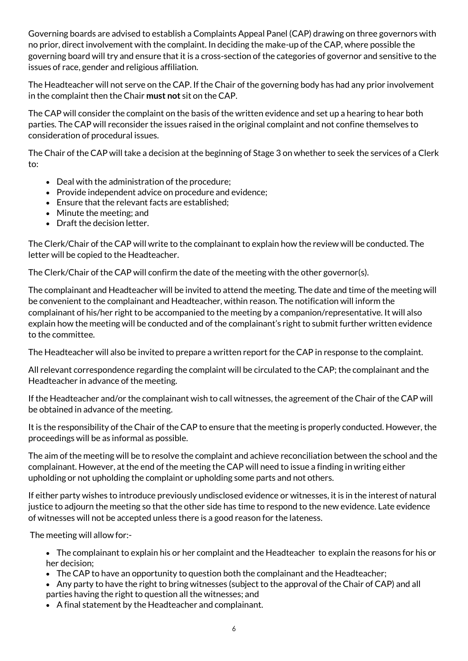Governing boards are advised to establish a Complaints Appeal Panel (CAP) drawing on three governors with no prior, direct involvement with the complaint. In deciding the make-up of the CAP, where possible the governing board will try and ensure that it is a cross-section of the categories of governor and sensitive to the issues of race, gender and religious affiliation.

The Headteacher will not serve on the CAP. If the Chair of the governing body has had any prior involvement in the complaint then the Chair **must not** sit on the CAP.

The CAP will consider the complaint on the basis of the written evidence and set up a hearing to hear both parties. The CAP will reconsider the issues raised in the original complaint and not confine themselves to consideration of procedural issues.

The Chair of the CAP will take a decision at the beginning of Stage 3 on whether to seek the services of a Clerk to:

- Deal with the administration of the procedure;
- Provide independent advice on procedure and evidence;
- Ensure that the relevant facts are established:
- Minute the meeting; and
- Draft the decision letter.

The Clerk/Chair of the CAP will write to the complainant to explain how the review will be conducted. The letter will be copied to the Headteacher.

The Clerk/Chair of the CAP will confirm the date of the meeting with the other governor(s).

The complainant and Headteacher will be invited to attend the meeting. The date and time of the meeting will be convenient to the complainant and Headteacher, within reason. The notification will inform the complainant of his/her right to be accompanied to the meeting by a companion/representative. It will also explain how the meeting will be conducted and of the complainant's right to submit further written evidence to the committee.

The Headteacher will also be invited to prepare a written report for the CAP in response to the complaint.

All relevant correspondence regarding the complaint will be circulated to the CAP; the complainant and the Headteacher in advance of the meeting.

If the Headteacher and/or the complainant wish to call witnesses, the agreement of the Chair of the CAP will be obtained in advance of the meeting.

It is the responsibility of the Chair of the CAP to ensure that the meeting is properly conducted. However, the proceedings will be as informal as possible.

The aim of the meeting will be to resolve the complaint and achieve reconciliation between the school and the complainant. However, at the end of the meeting the CAP will need to issue a finding in writing either upholding or not upholding the complaint or upholding some parts and not others.

If either party wishes to introduce previously undisclosed evidence or witnesses, it is in the interest of natural justice to adjourn the meeting so that the other side has time to respond to the new evidence. Late evidence of witnesses will not be accepted unless there is a good reason for the lateness.

The meeting will allow for:-

- The complainant to explain his or her complaint and the Headteacher to explain the reasons for his or her decision;
- The CAP to have an opportunity to question both the complainant and the Headteacher;
- Any party to have the right to bring witnesses (subject to the approval of the Chair of CAP) and all parties having the right to question all the witnesses; and
- A final statement by the Headteacher and complainant.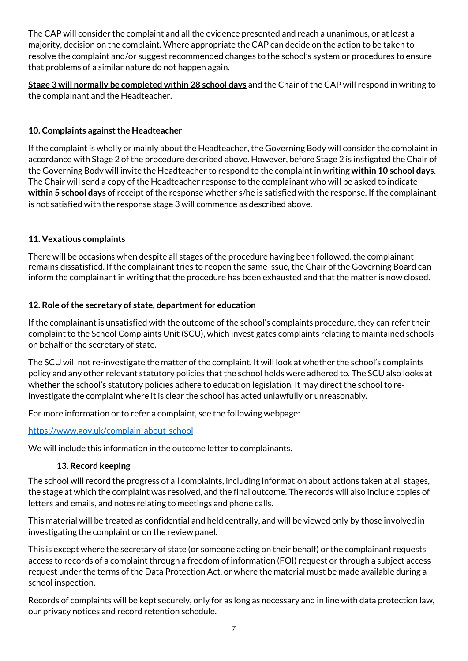The CAP will consider the complaint and all the evidence presented and reach a unanimous, or at least a majority, decision on the complaint. Where appropriate the CAP can decide on the action to be taken to resolve the complaint and/or suggest recommended changes to the school's system or procedures to ensure that problems of a similar nature do not happen again.

**Stage 3 will normally be completed within 28 school days** and the Chair of the CAP will respond in writing to the complainant and the Headteacher.

#### **10. Complaints against the Headteacher**

If the complaint is wholly or mainly about the Headteacher, the Governing Body will consider the complaint in accordance with Stage 2 of the procedure described above. However, before Stage 2 is instigated the Chair of the Governing Body will invite the Headteacher to respond to the complaintin writing **within 10 school days**. The Chair will send a copy of the Headteacher response to the complainant who will be asked to indicate **within 5 school days** of receipt of the response whether s/he is satisfied with the response. If the complainant is not satisfied with the response stage 3 will commence as described above.

#### **11. Vexatious complaints**

There will be occasions when despite all stages of the procedure having been followed, the complainant remains dissatisfied. If the complainant tries to reopen the same issue, the Chair of the Governing Board can inform the complainant in writing that the procedure has been exhausted and that the matter is now closed.

#### **12. Role of the secretary of state, department for education**

If the complainant is unsatisfied with the outcome of the school's complaints procedure, they can refer their complaint to the School Complaints Unit (SCU), which investigates complaints relating to maintained schools on behalf of the secretary of state.

The SCU will not re-investigate the matter of the complaint. It will look at whether the school's complaints policy and any other relevant statutory policies that the school holds were adhered to. The SCU also looks at whether the school's statutory policies adhere to education legislation. It may direct the school to reinvestigate the complaint where it is clear the school has acted unlawfully or unreasonably.

For more information or to refer a complaint, see the following webpage:

#### <https://www.gov.uk/complain-about-school>

We will include this information in the outcome letter to complainants.

#### **13. Record keeping**

The school will record the progress of all complaints, including information about actions taken at all stages, the stage at which the complaint was resolved, and the final outcome. The records will also include copies of letters and emails, and notes relating to meetings and phone calls.

This material will be treated as confidential and held centrally, and will be viewed only by those involved in investigating the complaint or on the review panel.

This is except where the secretary of state (or someone acting on their behalf) or the complainant requests access to records of a complaint through a freedom of information (FOI) request or through a subject access request under the terms of the Data Protection Act, or where the material must be made available during a school inspection.

Records of complaints will be kept securely, only for as long as necessary and in line with data protection law, our privacy notices and record retention schedule.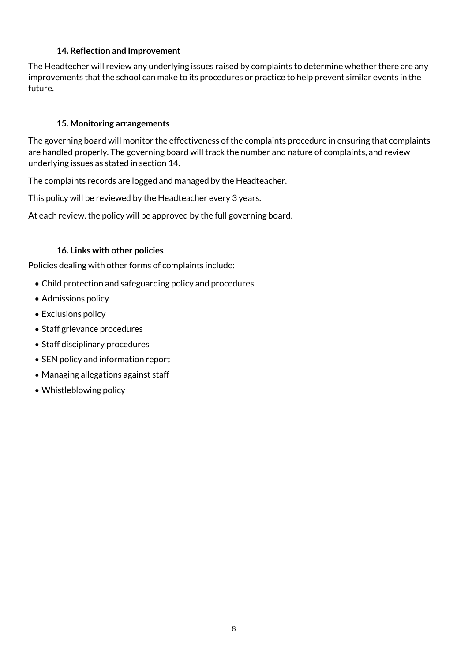#### **14. Reflection and Improvement**

The Headtecher will review any underlying issues raised by complaints to determine whether there are any improvements that the school can make to its procedures or practice to help prevent similar events in the future.

#### **15. Monitoring arrangements**

The governing board will monitor the effectiveness of the complaints procedure in ensuring that complaints are handled properly. The governing board will track the number and nature of complaints, and review underlying issues as stated in section 14.

The complaints records are logged and managed by the Headteacher.

This policy will be reviewed by the Headteacher every 3 years.

At each review, the policy will be approved by the full governing board.

#### **16. Links with other policies**

Policies dealing with other forms of complaints include:

- Child protection and safeguarding policy and procedures
- Admissions policy
- Exclusions policy
- Staff grievance procedures
- Staff disciplinary procedures
- SEN policy and information report
- Managing allegations against staff
- Whistleblowing policy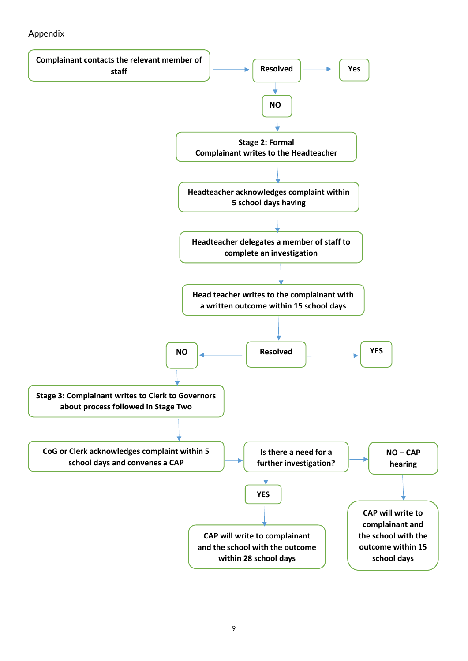#### Appendix

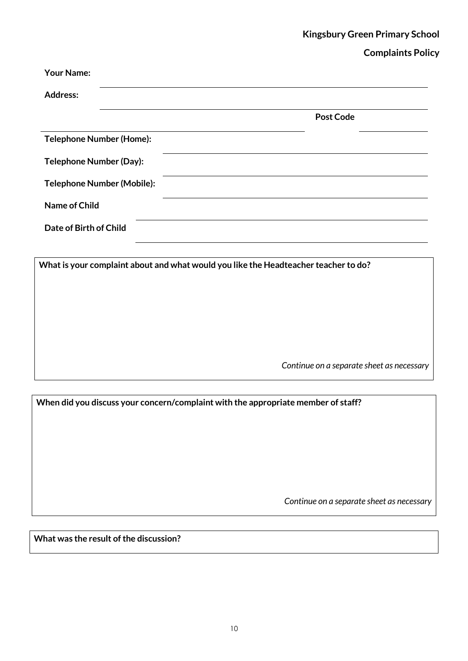# **Kingsbury Green Primary School**

#### **Complaints Policy**

| <b>Your Name:</b>               |  |  |                  |  |
|---------------------------------|--|--|------------------|--|
| <b>Address:</b>                 |  |  |                  |  |
|                                 |  |  | <b>Post Code</b> |  |
| <b>Telephone Number (Home):</b> |  |  |                  |  |
| Telephone Number (Day):         |  |  |                  |  |
| Telephone Number (Mobile):      |  |  |                  |  |
| Name of Child                   |  |  |                  |  |
| Date of Birth of Child          |  |  |                  |  |
|                                 |  |  |                  |  |

**What is your complaint about and what would you like the Headteacher teacher to do?**

*Continue on a separate sheet as necessary*

**When did you discuss your concern/complaint with the appropriate member of staff?**

*Continue on a separate sheet as necessary*

**What was the result of the discussion?**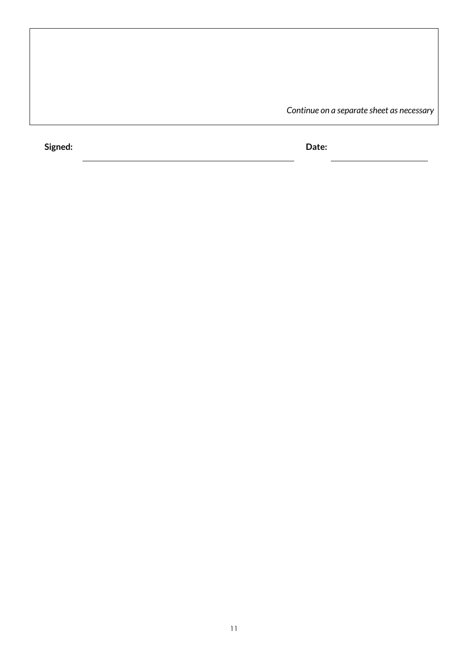*Continue on a separate sheet as necessary*

**Signed: Date:**